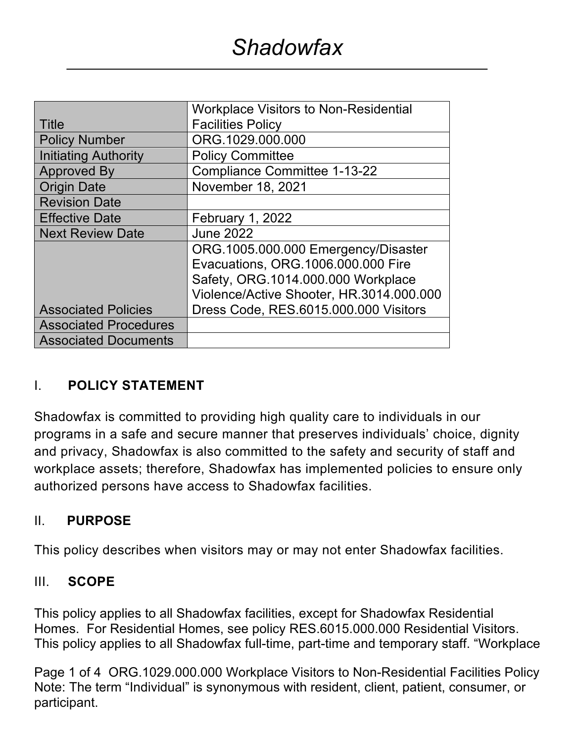|                              | <b>Workplace Visitors to Non-Residential</b> |  |  |
|------------------------------|----------------------------------------------|--|--|
| Title                        | <b>Facilities Policy</b>                     |  |  |
| <b>Policy Number</b>         | ORG.1029.000.000                             |  |  |
| <b>Initiating Authority</b>  | <b>Policy Committee</b>                      |  |  |
| <b>Approved By</b>           | <b>Compliance Committee 1-13-22</b>          |  |  |
| <b>Origin Date</b>           | November 18, 2021                            |  |  |
| <b>Revision Date</b>         |                                              |  |  |
| <b>Effective Date</b>        | <b>February 1, 2022</b>                      |  |  |
| <b>Next Review Date</b>      | <b>June 2022</b>                             |  |  |
|                              | ORG.1005.000.000 Emergency/Disaster          |  |  |
|                              | Evacuations, ORG.1006.000.000 Fire           |  |  |
|                              | Safety, ORG.1014.000.000 Workplace           |  |  |
|                              | Violence/Active Shooter, HR.3014.000.000     |  |  |
| <b>Associated Policies</b>   | Dress Code, RES.6015.000.000 Visitors        |  |  |
| <b>Associated Procedures</b> |                                              |  |  |
| <b>Associated Documents</b>  |                                              |  |  |

# I. **POLICY STATEMENT**

Shadowfax is committed to providing high quality care to individuals in our programs in a safe and secure manner that preserves individuals' choice, dignity and privacy, Shadowfax is also committed to the safety and security of staff and workplace assets; therefore, Shadowfax has implemented policies to ensure only authorized persons have access to Shadowfax facilities.

## II. **PURPOSE**

This policy describes when visitors may or may not enter Shadowfax facilities.

## III. **SCOPE**

This policy applies to all Shadowfax facilities, except for Shadowfax Residential Homes. For Residential Homes, see policy RES.6015.000.000 Residential Visitors. This policy applies to all Shadowfax full-time, part-time and temporary staff. "Workplace

Page 1 of 4 ORG.1029.000.000 Workplace Visitors to Non-Residential Facilities Policy Note: The term "Individual" is synonymous with resident, client, patient, consumer, or participant.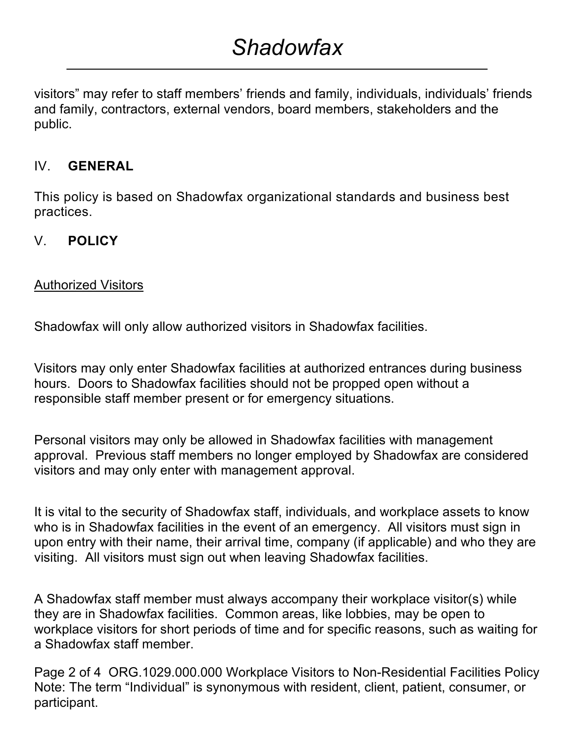visitors" may refer to staff members' friends and family, individuals, individuals' friends and family, contractors, external vendors, board members, stakeholders and the public.

## IV. **GENERAL**

This policy is based on Shadowfax organizational standards and business best practices.

## V. **POLICY**

#### Authorized Visitors

Shadowfax will only allow authorized visitors in Shadowfax facilities.

Visitors may only enter Shadowfax facilities at authorized entrances during business hours. Doors to Shadowfax facilities should not be propped open without a responsible staff member present or for emergency situations.

Personal visitors may only be allowed in Shadowfax facilities with management approval. Previous staff members no longer employed by Shadowfax are considered visitors and may only enter with management approval.

It is vital to the security of Shadowfax staff, individuals, and workplace assets to know who is in Shadowfax facilities in the event of an emergency. All visitors must sign in upon entry with their name, their arrival time, company (if applicable) and who they are visiting. All visitors must sign out when leaving Shadowfax facilities.

A Shadowfax staff member must always accompany their workplace visitor(s) while they are in Shadowfax facilities. Common areas, like lobbies, may be open to workplace visitors for short periods of time and for specific reasons, such as waiting for a Shadowfax staff member.

Page 2 of 4 ORG.1029.000.000 Workplace Visitors to Non-Residential Facilities Policy Note: The term "Individual" is synonymous with resident, client, patient, consumer, or participant.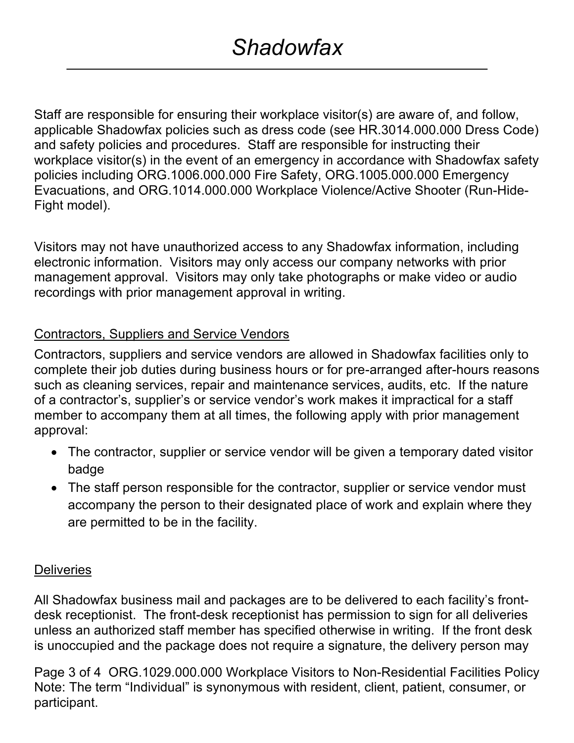Staff are responsible for ensuring their workplace visitor(s) are aware of, and follow, applicable Shadowfax policies such as dress code (see HR.3014.000.000 Dress Code) and safety policies and procedures. Staff are responsible for instructing their workplace visitor(s) in the event of an emergency in accordance with Shadowfax safety policies including ORG.1006.000.000 Fire Safety, ORG.1005.000.000 Emergency Evacuations, and ORG.1014.000.000 Workplace Violence/Active Shooter (Run-Hide-Fight model).

Visitors may not have unauthorized access to any Shadowfax information, including electronic information. Visitors may only access our company networks with prior management approval. Visitors may only take photographs or make video or audio recordings with prior management approval in writing.

# Contractors, Suppliers and Service Vendors

Contractors, suppliers and service vendors are allowed in Shadowfax facilities only to complete their job duties during business hours or for pre-arranged after-hours reasons such as cleaning services, repair and maintenance services, audits, etc. If the nature of a contractor's, supplier's or service vendor's work makes it impractical for a staff member to accompany them at all times, the following apply with prior management approval:

- The contractor, supplier or service vendor will be given a temporary dated visitor badge
- The staff person responsible for the contractor, supplier or service vendor must accompany the person to their designated place of work and explain where they are permitted to be in the facility.

## **Deliveries**

All Shadowfax business mail and packages are to be delivered to each facility's frontdesk receptionist. The front-desk receptionist has permission to sign for all deliveries unless an authorized staff member has specified otherwise in writing. If the front desk is unoccupied and the package does not require a signature, the delivery person may

Page 3 of 4 ORG.1029.000.000 Workplace Visitors to Non-Residential Facilities Policy Note: The term "Individual" is synonymous with resident, client, patient, consumer, or participant.